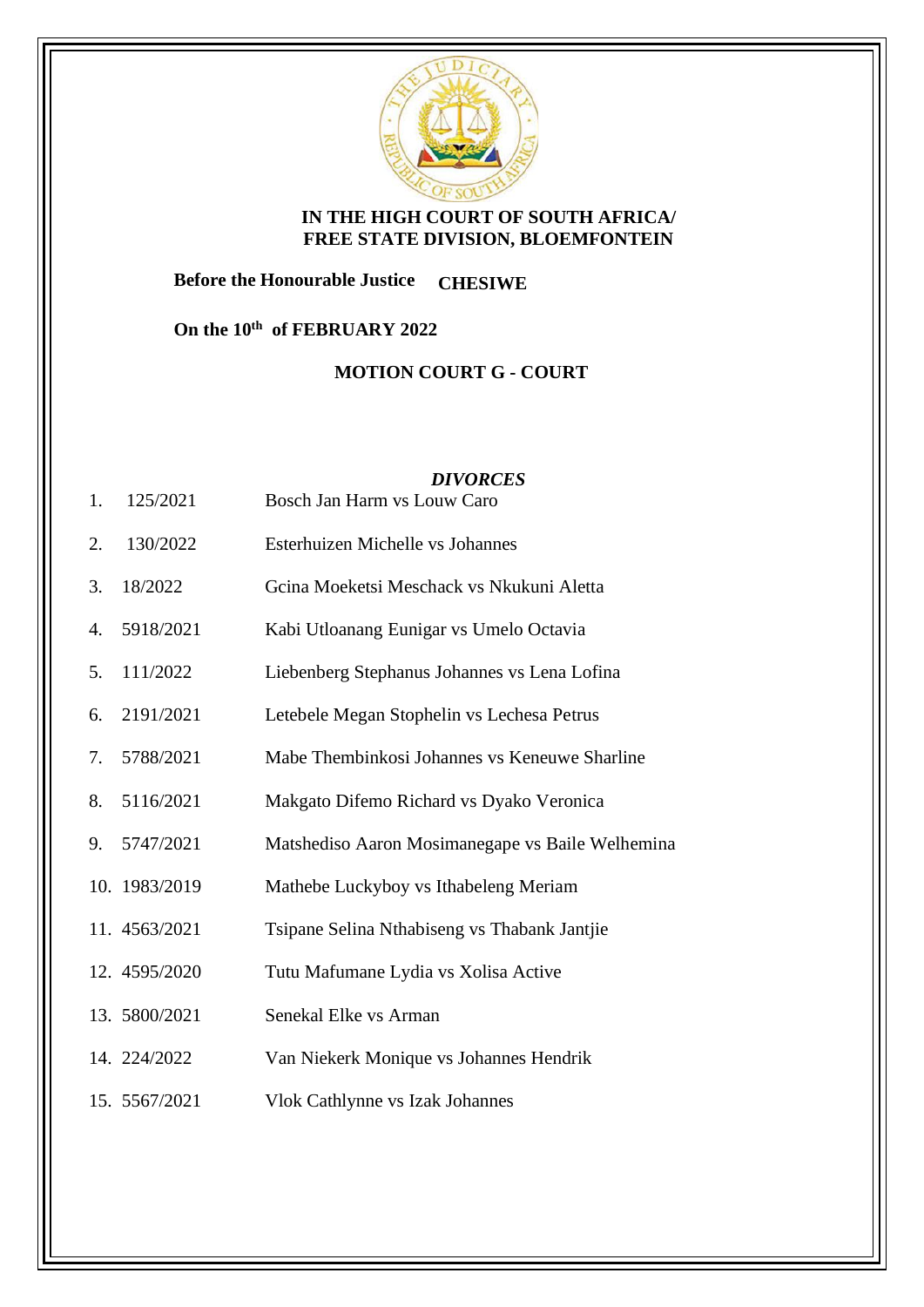

## **IN THE HIGH COURT OF SOUTH AFRICA/ FREE STATE DIVISION, BLOEMFONTEIN**

**Before the Honourable Justice CHESIWE**

**On the 10th of FEBRUARY 2022**

**MOTION COURT G - COURT**

## *DIVORCES*

- 1. 125/2021 Bosch Jan Harm vs Louw Caro
- 2. 130/2022 Esterhuizen Michelle vs Johannes
- 3. 18/2022 Gcina Moeketsi Meschack vs Nkukuni Aletta
- 4. 5918/2021 Kabi Utloanang Eunigar vs Umelo Octavia
- 5. 111/2022 Liebenberg Stephanus Johannes vs Lena Lofina
- 6. 2191/2021 Letebele Megan Stophelin vs Lechesa Petrus
- 7. 5788/2021 Mabe Thembinkosi Johannes vs Keneuwe Sharline
- 8. 5116/2021 Makgato Difemo Richard vs Dyako Veronica
- 9. 5747/2021 Matshediso Aaron Mosimanegape vs Baile Welhemina
- 10. 1983/2019 Mathebe Luckyboy vs Ithabeleng Meriam
- 11. 4563/2021 Tsipane Selina Nthabiseng vs Thabank Jantjie
- 12. 4595/2020 Tutu Mafumane Lydia vs Xolisa Active
- 13. 5800/2021 Senekal Elke vs Arman
- 14. 224/2022 Van Niekerk Monique vs Johannes Hendrik
- 15. 5567/2021 Vlok Cathlynne vs Izak Johannes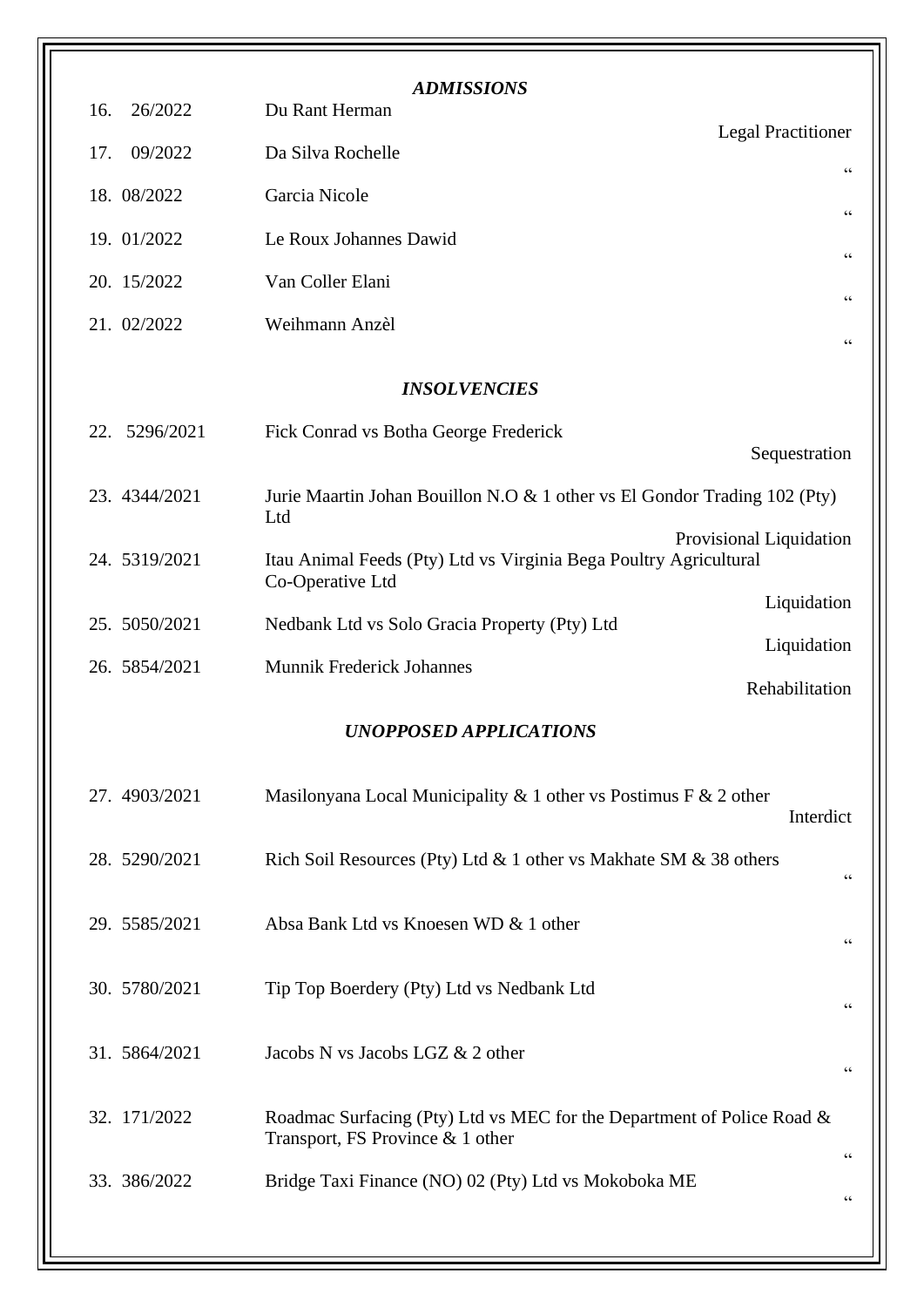| <b>ADMISSIONS</b>   |                                                                                                            |                           |
|---------------------|------------------------------------------------------------------------------------------------------------|---------------------------|
| 26/2022<br>16.      | Du Rant Herman                                                                                             | <b>Legal Practitioner</b> |
| 09/2022<br>17.      | Da Silva Rochelle                                                                                          | $\textsf{G}\,\textsf{G}$  |
| 18. 08/2022         | Garcia Nicole                                                                                              | $\zeta \zeta$             |
| 19. 01/2022         | Le Roux Johannes Dawid                                                                                     | $\zeta \, \zeta$          |
| 20. 15/2022         | Van Coller Elani                                                                                           | 66                        |
| 21. 02/2022         | Weihmann Anzèl                                                                                             | $\mbox{\bf G}$            |
| <b>INSOLVENCIES</b> |                                                                                                            |                           |
| 5296/2021<br>22.    | Fick Conrad vs Botha George Frederick                                                                      | Sequestration             |
| 23. 4344/2021       | Jurie Maartin Johan Bouillon N.O & 1 other vs El Gondor Trading 102 (Pty)<br>Ltd                           |                           |
| 24. 5319/2021       | Itau Animal Feeds (Pty) Ltd vs Virginia Bega Poultry Agricultural<br>Co-Operative Ltd                      | Provisional Liquidation   |
| 25. 5050/2021       | Nedbank Ltd vs Solo Gracia Property (Pty) Ltd                                                              | Liquidation               |
| 26. 5854/2021       | <b>Munnik Frederick Johannes</b>                                                                           | Liquidation               |
|                     |                                                                                                            | Rehabilitation            |
|                     | <b>UNOPPOSED APPLICATIONS</b>                                                                              |                           |
| 27. 4903/2021       | Masilonyana Local Municipality & 1 other vs Postimus F & 2 other                                           | Interdict                 |
| 28. 5290/2021       | Rich Soil Resources (Pty) Ltd & 1 other vs Makhate SM & 38 others                                          | $\mbox{\bf G}$            |
| 29. 5585/2021       | Absa Bank Ltd vs Knoesen WD & 1 other                                                                      | 66                        |
| 30. 5780/2021       | Tip Top Boerdery (Pty) Ltd vs Nedbank Ltd                                                                  | $\zeta \, \zeta$          |
| 31. 5864/2021       | Jacobs N vs Jacobs LGZ & 2 other                                                                           | $\zeta \zeta$             |
| 32. 171/2022        | Roadmac Surfacing (Pty) Ltd vs MEC for the Department of Police Road &<br>Transport, FS Province & 1 other | $\zeta\,\zeta$            |
| 33. 386/2022        | Bridge Taxi Finance (NO) 02 (Pty) Ltd vs Mokoboka ME                                                       | $\mbox{\bf G}$            |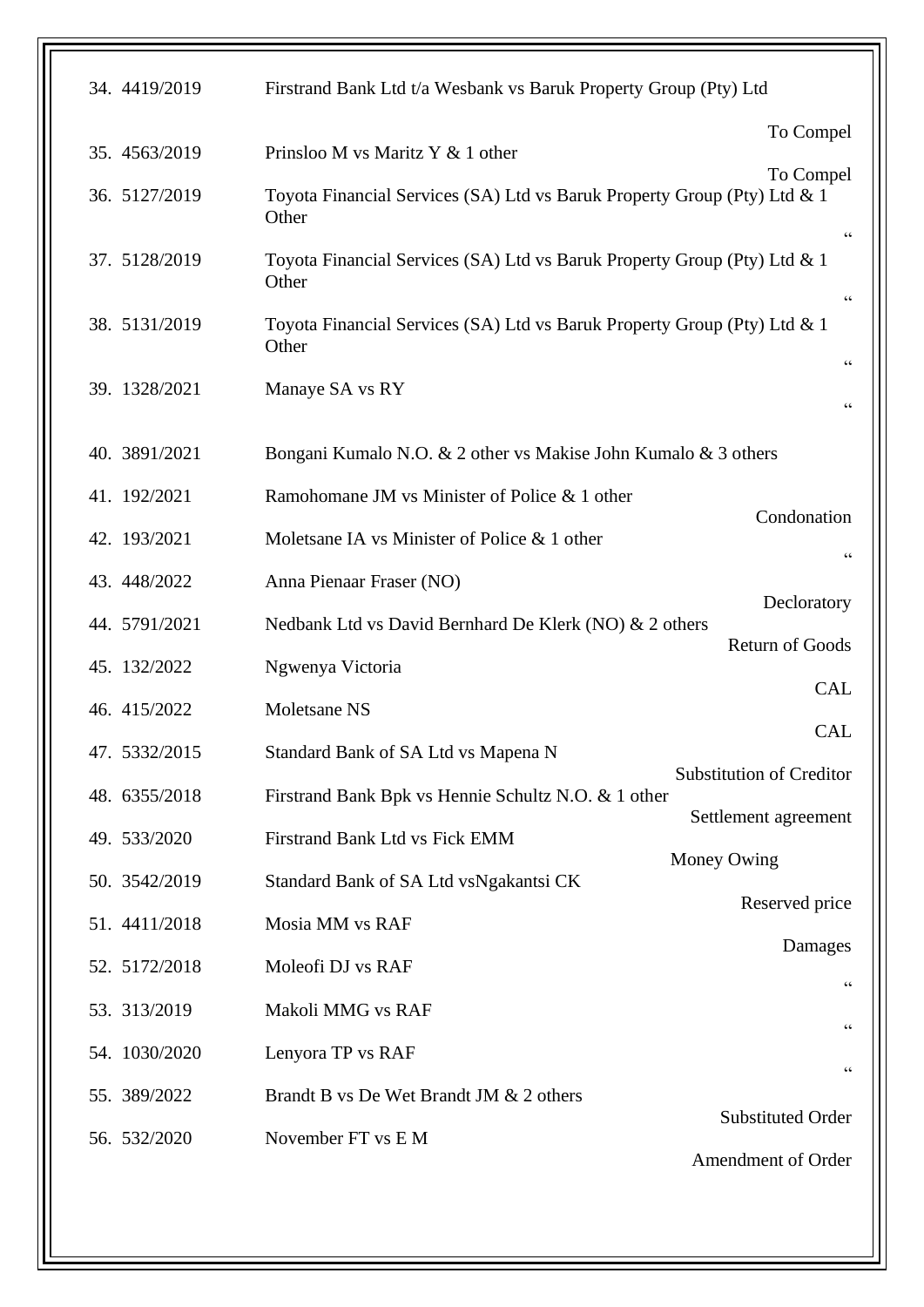| 34. 4419/2019 | Firstrand Bank Ltd t/a Wesbank vs Baruk Property Group (Pty) Ltd                  |                                            |
|---------------|-----------------------------------------------------------------------------------|--------------------------------------------|
| 35. 4563/2019 | Prinsloo M vs Maritz Y & 1 other                                                  | To Compel                                  |
| 36. 5127/2019 | Toyota Financial Services (SA) Ltd vs Baruk Property Group (Pty) Ltd & 1<br>Other | To Compel                                  |
| 37. 5128/2019 | Toyota Financial Services (SA) Ltd vs Baruk Property Group (Pty) Ltd & 1<br>Other | $\mbox{\bf G}$                             |
| 38. 5131/2019 | Toyota Financial Services (SA) Ltd vs Baruk Property Group (Pty) Ltd & 1<br>Other | $\zeta\,\zeta$                             |
| 39. 1328/2021 | Manaye SA vs RY                                                                   | $\zeta$ $\zeta$<br>$\zeta$ $\zeta$         |
| 40. 3891/2021 | Bongani Kumalo N.O. & 2 other vs Makise John Kumalo & 3 others                    |                                            |
| 41. 192/2021  | Ramohomane JM vs Minister of Police & 1 other                                     |                                            |
| 42. 193/2021  | Moletsane IA vs Minister of Police & 1 other                                      | Condonation<br>$\zeta\,\zeta$              |
| 43. 448/2022  | Anna Pienaar Fraser (NO)                                                          |                                            |
| 44. 5791/2021 | Nedbank Ltd vs David Bernhard De Klerk (NO) & 2 others                            | Decloratory                                |
| 45. 132/2022  | Ngwenya Victoria                                                                  | <b>Return of Goods</b>                     |
| 46. 415/2022  | Moletsane NS                                                                      | <b>CAL</b>                                 |
| 47. 5332/2015 | Standard Bank of SA Ltd vs Mapena N                                               | <b>CAL</b>                                 |
| 48. 6355/2018 | Firstrand Bank Bpk vs Hennie Schultz N.O. & 1 other                               | <b>Substitution of Creditor</b>            |
| 49. 533/2020  | Firstrand Bank Ltd vs Fick EMM                                                    | Settlement agreement                       |
| 50. 3542/2019 | Standard Bank of SA Ltd vsNgakantsi CK                                            | Money Owing                                |
| 51. 4411/2018 | Mosia MM vs RAF                                                                   | Reserved price                             |
| 52. 5172/2018 | Moleofi DJ vs RAF                                                                 | Damages                                    |
| 53. 313/2019  | Makoli MMG vs RAF                                                                 | 66                                         |
| 54. 1030/2020 | Lenyora TP vs RAF                                                                 | $\!\!\!\zeta\,\zeta\!\!\!\zeta\!\!\!\zeta$ |
| 55. 389/2022  | Brandt B vs De Wet Brandt JM & 2 others                                           | 66                                         |
| 56. 532/2020  | November FT vs E M                                                                | <b>Substituted Order</b>                   |
|               |                                                                                   | Amendment of Order                         |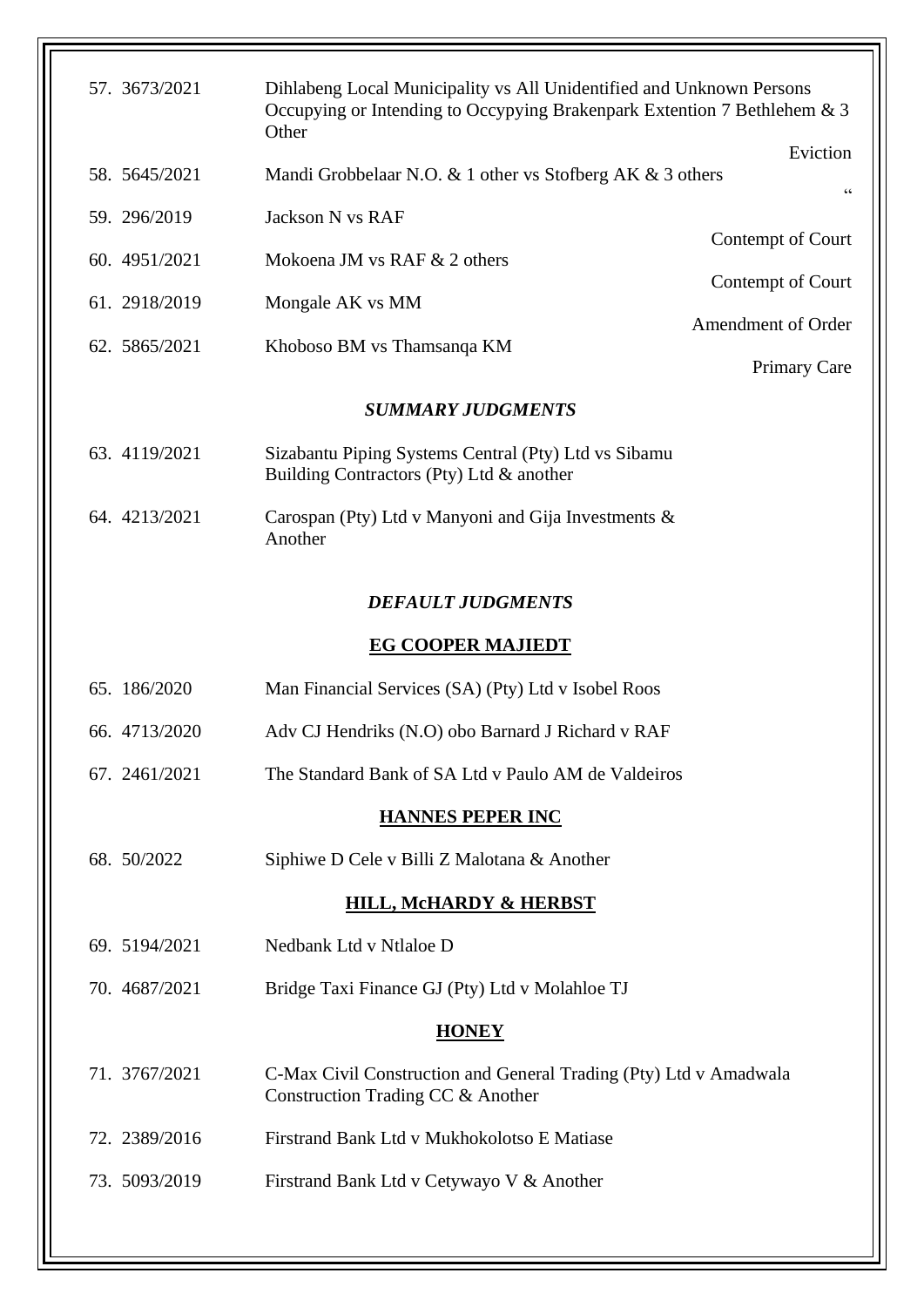| 57. 3673/2021            | Dihlabeng Local Municipality vs All Unidentified and Unknown Persons<br>Occupying or Intending to Occypying Brakenpark Extention 7 Bethlehem & 3<br>Other |                     |  |  |
|--------------------------|-----------------------------------------------------------------------------------------------------------------------------------------------------------|---------------------|--|--|
| 58. 5645/2021            | Mandi Grobbelaar N.O. & 1 other vs Stofberg AK & 3 others                                                                                                 | Eviction            |  |  |
| 59. 296/2019             | Jackson N vs RAF                                                                                                                                          | $\zeta \, \zeta$    |  |  |
| 60. 4951/2021            | Mokoena JM vs RAF & 2 others                                                                                                                              | Contempt of Court   |  |  |
| 61. 2918/2019            | Mongale AK vs MM                                                                                                                                          | Contempt of Court   |  |  |
| 62. 5865/2021            | Khoboso BM vs Thamsanqa KM                                                                                                                                | Amendment of Order  |  |  |
|                          |                                                                                                                                                           | <b>Primary Care</b> |  |  |
|                          | <b>SUMMARY JUDGMENTS</b>                                                                                                                                  |                     |  |  |
| 63. 4119/2021            | Sizabantu Piping Systems Central (Pty) Ltd vs Sibamu<br>Building Contractors (Pty) Ltd & another                                                          |                     |  |  |
| 64. 4213/2021            | Carospan (Pty) Ltd v Manyoni and Gija Investments &<br>Another                                                                                            |                     |  |  |
| <b>DEFAULT JUDGMENTS</b> |                                                                                                                                                           |                     |  |  |
|                          | <b>EG COOPER MAJIEDT</b>                                                                                                                                  |                     |  |  |
| 65. 186/2020             | Man Financial Services (SA) (Pty) Ltd v Isobel Roos                                                                                                       |                     |  |  |
| 66. 4713/2020            | Adv CJ Hendriks (N.O) obo Barnard J Richard v RAF                                                                                                         |                     |  |  |
| 67. 2461/2021            | The Standard Bank of SA Ltd v Paulo AM de Valdeiros                                                                                                       |                     |  |  |
|                          | <b>HANNES PEPER INC</b>                                                                                                                                   |                     |  |  |
| 68. 50/2022              | Siphiwe D Cele v Billi Z Malotana & Another                                                                                                               |                     |  |  |
|                          | <b>HILL, MCHARDY &amp; HERBST</b>                                                                                                                         |                     |  |  |
| 69. 5194/2021            | Nedbank Ltd v Ntlaloe D                                                                                                                                   |                     |  |  |
| 70. 4687/2021            | Bridge Taxi Finance GJ (Pty) Ltd v Molahloe TJ                                                                                                            |                     |  |  |
| <b>HONEY</b>             |                                                                                                                                                           |                     |  |  |
| 71. 3767/2021            | C-Max Civil Construction and General Trading (Pty) Ltd v Amadwala<br>Construction Trading CC & Another                                                    |                     |  |  |
| 72. 2389/2016            | Firstrand Bank Ltd v Mukhokolotso E Matiase                                                                                                               |                     |  |  |
| 73. 5093/2019            | Firstrand Bank Ltd v Cetywayo V & Another                                                                                                                 |                     |  |  |
|                          |                                                                                                                                                           |                     |  |  |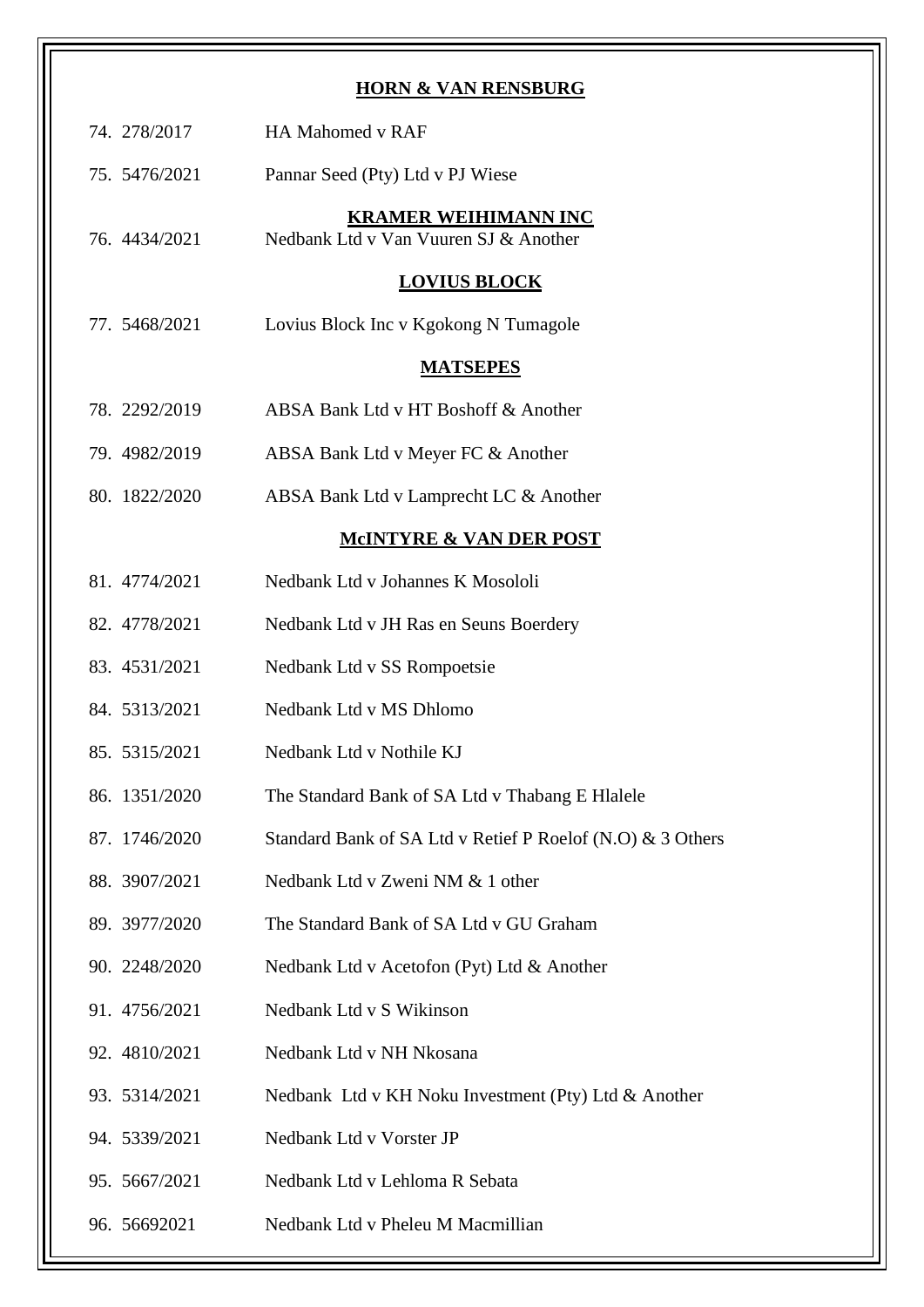|               | <b>HORN &amp; VAN RENSBURG</b>                                       |
|---------------|----------------------------------------------------------------------|
| 74. 278/2017  | <b>HA Mahomed v RAF</b>                                              |
| 75. 5476/2021 | Pannar Seed (Pty) Ltd v PJ Wiese                                     |
| 76. 4434/2021 | <b>KRAMER WEIHIMANN INC</b><br>Nedbank Ltd v Van Vuuren SJ & Another |
|               | <b>LOVIUS BLOCK</b>                                                  |
| 77. 5468/2021 | Lovius Block Inc v Kgokong N Tumagole                                |
|               | <b>MATSEPES</b>                                                      |
| 78. 2292/2019 | ABSA Bank Ltd v HT Boshoff & Another                                 |
| 79. 4982/2019 | ABSA Bank Ltd v Meyer FC & Another                                   |
| 80. 1822/2020 | ABSA Bank Ltd v Lamprecht LC & Another                               |
|               | <b>MCINTYRE &amp; VAN DER POST</b>                                   |
| 81. 4774/2021 | Nedbank Ltd v Johannes K Mosololi                                    |
| 82. 4778/2021 | Nedbank Ltd v JH Ras en Seuns Boerdery                               |
| 83. 4531/2021 | Nedbank Ltd v SS Rompoetsie                                          |
| 84. 5313/2021 | Nedbank Ltd v MS Dhlomo                                              |
| 85. 5315/2021 | Nedbank Ltd v Nothile KJ                                             |
| 86. 1351/2020 | The Standard Bank of SA Ltd v Thabang E Hlalele                      |
| 87. 1746/2020 | Standard Bank of SA Ltd v Retief P Roelof (N.O) & 3 Others           |
| 88. 3907/2021 | Nedbank Ltd v Zweni NM & 1 other                                     |
| 89. 3977/2020 | The Standard Bank of SA Ltd v GU Graham                              |
| 90. 2248/2020 | Nedbank Ltd v Acetofon (Pyt) Ltd & Another                           |
| 91. 4756/2021 | Nedbank Ltd v S Wikinson                                             |
| 92. 4810/2021 | Nedbank Ltd v NH Nkosana                                             |
| 93. 5314/2021 | Nedbank Ltd v KH Noku Investment (Pty) Ltd & Another                 |
| 94. 5339/2021 | Nedbank Ltd v Vorster JP                                             |
| 95. 5667/2021 | Nedbank Ltd v Lehloma R Sebata                                       |
| 96. 56692021  | Nedbank Ltd v Pheleu M Macmillian                                    |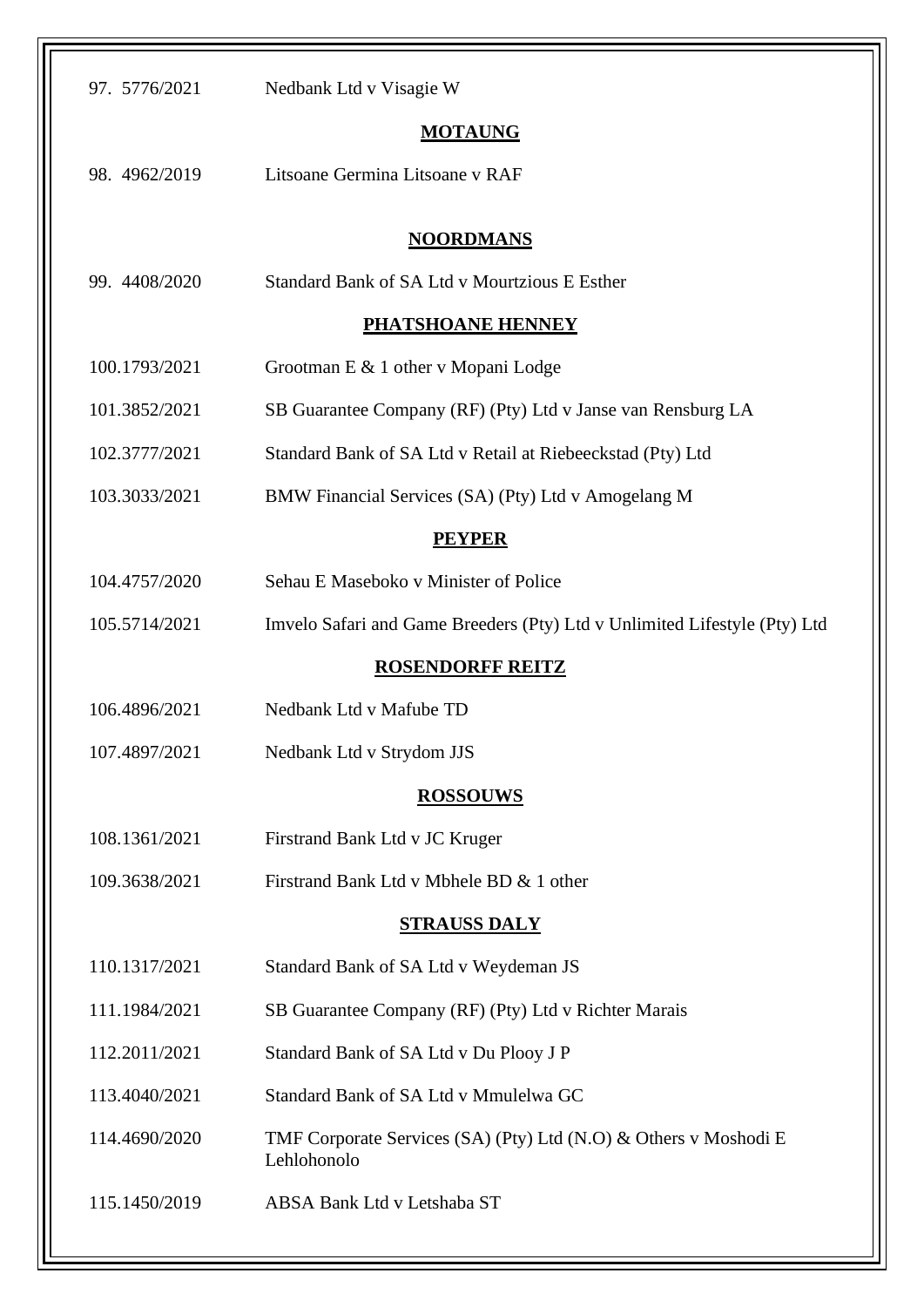| 97. 5776/2021       | Nedbank Ltd v Visagie W                                                         |  |
|---------------------|---------------------------------------------------------------------------------|--|
| <b>MOTAUNG</b>      |                                                                                 |  |
| 98. 4962/2019       | Litsoane Germina Litsoane v RAF                                                 |  |
|                     |                                                                                 |  |
|                     | <b>NOORDMANS</b>                                                                |  |
| 99. 4408/2020       | <b>Standard Bank of SA Ltd v Mourtzious E Esther</b>                            |  |
|                     | <b>PHATSHOANE HENNEY</b>                                                        |  |
| 100.1793/2021       | Grootman E & 1 other v Mopani Lodge                                             |  |
| 101.3852/2021       | SB Guarantee Company (RF) (Pty) Ltd v Janse van Rensburg LA                     |  |
| 102.3777/2021       | Standard Bank of SA Ltd v Retail at Riebeeckstad (Pty) Ltd                      |  |
| 103.3033/2021       | BMW Financial Services (SA) (Pty) Ltd v Amogelang M                             |  |
|                     | <b>PEYPER</b>                                                                   |  |
| 104.4757/2020       | Sehau E Maseboko v Minister of Police                                           |  |
| 105.5714/2021       | Imvelo Safari and Game Breeders (Pty) Ltd v Unlimited Lifestyle (Pty) Ltd       |  |
|                     | <b>ROSENDORFF REITZ</b>                                                         |  |
| 106.4896/2021       | Nedbank Ltd v Mafube TD                                                         |  |
| 107.4897/2021       | Nedbank Ltd v Strydom JJS                                                       |  |
|                     | <b>ROSSOUWS</b>                                                                 |  |
| 108.1361/2021       | Firstrand Bank Ltd v JC Kruger                                                  |  |
| 109.3638/2021       | Firstrand Bank Ltd v Mbhele BD & 1 other                                        |  |
| <b>STRAUSS DALY</b> |                                                                                 |  |
|                     |                                                                                 |  |
| 110.1317/2021       | Standard Bank of SA Ltd v Weydeman JS                                           |  |
| 111.1984/2021       | SB Guarantee Company (RF) (Pty) Ltd v Richter Marais                            |  |
| 112.2011/2021       | Standard Bank of SA Ltd v Du Plooy J P                                          |  |
| 113.4040/2021       | Standard Bank of SA Ltd v Mmulelwa GC                                           |  |
| 114.4690/2020       | TMF Corporate Services (SA) (Pty) Ltd (N.O) & Others v Moshodi E<br>Lehlohonolo |  |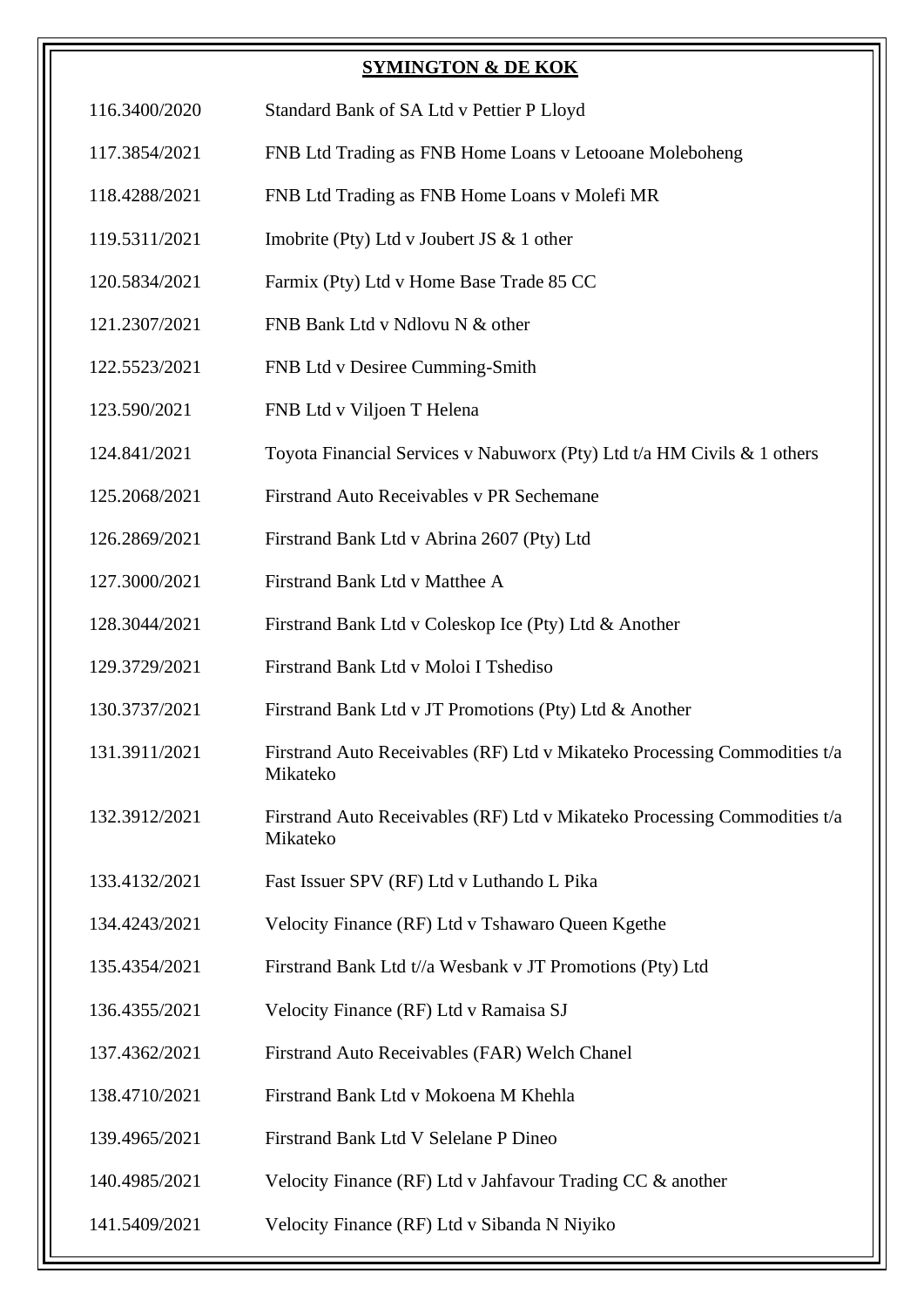## **SYMINGTON & DE KOK**

- 116.3400/2020 Standard Bank of SA Ltd v Pettier P Lloyd
- 117.3854/2021 FNB Ltd Trading as FNB Home Loans v Letooane Moleboheng
- 118.4288/2021 FNB Ltd Trading as FNB Home Loans v Molefi MR
- 119.5311/2021 Imobrite (Pty) Ltd v Joubert JS & 1 other
- 120.5834/2021 Farmix (Pty) Ltd v Home Base Trade 85 CC
- 121.2307/2021 FNB Bank Ltd v Ndlovu N & other
- 122.5523/2021 FNB Ltd v Desiree Cumming-Smith
- 123.590/2021 FNB Ltd v Viljoen T Helena
- 124.841/2021 Toyota Financial Services v Nabuworx (Pty) Ltd t/a HM Civils & 1 others
- 125.2068/2021 Firstrand Auto Receivables v PR Sechemane
- 126.2869/2021 Firstrand Bank Ltd v Abrina 2607 (Pty) Ltd
- 127.3000/2021 Firstrand Bank Ltd v Matthee A
- 128.3044/2021 Firstrand Bank Ltd v Coleskop Ice (Pty) Ltd & Another
- 129.3729/2021 Firstrand Bank Ltd v Moloi I Tshediso
- 130.3737/2021 Firstrand Bank Ltd v JT Promotions (Pty) Ltd & Another
- 131.3911/2021 Firstrand Auto Receivables (RF) Ltd v Mikateko Processing Commodities t/a Mikateko
- 132.3912/2021 Firstrand Auto Receivables (RF) Ltd v Mikateko Processing Commodities t/a Mikateko
- 133.4132/2021 Fast Issuer SPV (RF) Ltd v Luthando L Pika
- 134.4243/2021 Velocity Finance (RF) Ltd v Tshawaro Queen Kgethe
- 135.4354/2021 Firstrand Bank Ltd t//a Wesbank v JT Promotions (Pty) Ltd
- 136.4355/2021 Velocity Finance (RF) Ltd v Ramaisa SJ
- 137.4362/2021 Firstrand Auto Receivables (FAR) Welch Chanel
- 138.4710/2021 Firstrand Bank Ltd v Mokoena M Khehla
- 139.4965/2021 Firstrand Bank Ltd V Selelane P Dineo
- 140.4985/2021 Velocity Finance (RF) Ltd v Jahfavour Trading CC & another
- 141.5409/2021 Velocity Finance (RF) Ltd v Sibanda N Niyiko